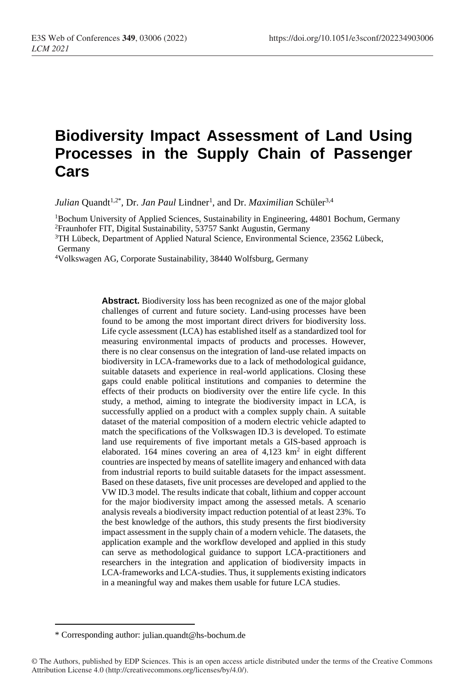# **Biodiversity Impact Assessment of Land Using Processes in the Supply Chain of Passenger Cars**

*Julian* Quandt<sup>1,2\*</sup>, Dr. *Jan Paul* Lindner<sup>1</sup>, and Dr. *Maximilian* Schüler<sup>3,4</sup>

<sup>1</sup>Bochum University of Applied Sciences, Sustainability in Engineering, 44801 Bochum, Germany <sup>2</sup>Fraunhofer FIT, Digital Sustainability, 53757 Sankt Augustin, Germany

<sup>3</sup>TH Lübeck, Department of Applied Natural Science, Environmental Science, 23562 Lübeck, Germany

<sup>4</sup>Volkswagen AG, Corporate Sustainability, 38440 Wolfsburg, Germany

**Abstract.** Biodiversity loss has been recognized as one of the major global challenges of current and future society. Land-using processes have been found to be among the most important direct drivers for biodiversity loss. Life cycle assessment (LCA) has established itself as a standardized tool for measuring environmental impacts of products and processes. However, there is no clear consensus on the integration of land-use related impacts on biodiversity in LCA-frameworks due to a lack of methodological guidance, suitable datasets and experience in real-world applications. Closing these gaps could enable political institutions and companies to determine the effects of their products on biodiversity over the entire life cycle. In this study, a method, aiming to integrate the biodiversity impact in LCA, is successfully applied on a product with a complex supply chain. A suitable dataset of the material composition of a modern electric vehicle adapted to match the specifications of the Volkswagen ID.3 is developed. To estimate land use requirements of five important metals a GIS-based approach is elaborated. 164 mines covering an area of  $4,123 \text{ km}^2$  in eight different countries are inspected by means of satellite imagery and enhanced with data from industrial reports to build suitable datasets for the impact assessment. Based on these datasets, five unit processes are developed and applied to the VW ID.3 model. The results indicate that cobalt, lithium and copper account for the major biodiversity impact among the assessed metals. A scenario analysis reveals a biodiversity impact reduction potential of at least 23%. To the best knowledge of the authors, this study presents the first biodiversity impact assessment in the supply chain of a modern vehicle. The datasets, the application example and the workflow developed and applied in this study can serve as methodological guidance to support LCA-practitioners and researchers in the integration and application of biodiversity impacts in LCA-frameworks and LCA-studies. Thus, it supplements existing indicators in a meaningful way and makes them usable for future LCA studies.

<sup>\*</sup> Corresponding author: julian.quandt@hs-bochum.de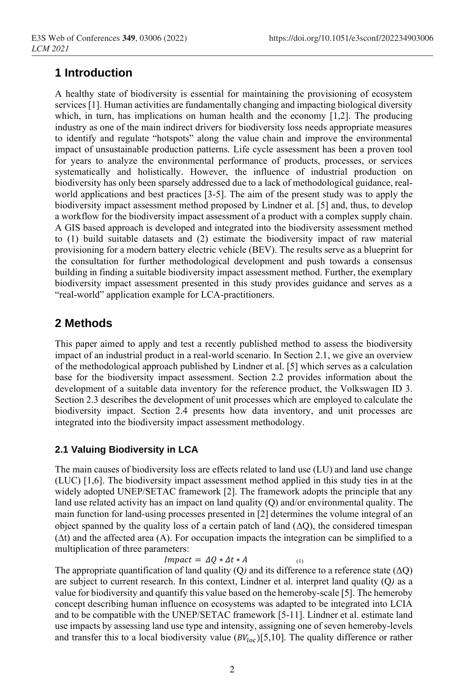### **1 Introduction**

A healthy state of biodiversity is essential for maintaining the provisioning of ecosystem services [1]. Human activities are fundamentally changing and impacting biological diversity which, in turn, has implications on human health and the economy [1,2]. The producing industry as one of the main indirect drivers for biodiversity loss needs appropriate measures to identify and regulate "hotspots" along the value chain and improve the environmental impact of unsustainable production patterns. Life cycle assessment has been a proven tool for years to analyze the environmental performance of products, processes, or services systematically and holistically. However, the influence of industrial production on biodiversity has only been sparsely addressed due to a lack of methodological guidance, realworld applications and best practices [3-5]. The aim of the present study was to apply the biodiversity impact assessment method proposed by Lindner et al. [5] and, thus, to develop a workflow for the biodiversity impact assessment of a product with a complex supply chain. A GIS based approach is developed and integrated into the biodiversity assessment method to (1) build suitable datasets and (2) estimate the biodiversity impact of raw material provisioning for a modern battery electric vehicle (BEV). The results serve as a blueprint for the consultation for further methodological development and push towards a consensus building in finding a suitable biodiversity impact assessment method. Further, the exemplary biodiversity impact assessment presented in this study provides guidance and serves as a "real-world" application example for LCA-practitioners.

## **2 Methods**

This paper aimed to apply and test a recently published method to assess the biodiversity impact of an industrial product in a real-world scenario. In Section 2.1, we give an overview of the methodological approach published by Lindner et al. [5] which serves as a calculation base for the biodiversity impact assessment. Section 2.2 provides information about the development of a suitable data inventory for the reference product, the Volkswagen ID 3. Section 2.3 describes the development of unit processes which are employed to calculate the biodiversity impact. Section 2.4 presents how data inventory, and unit processes are integrated into the biodiversity impact assessment methodology.

### **2.1 Valuing Biodiversity in LCA**

The main causes of biodiversity loss are effects related to land use (LU) and land use change (LUC) [1,6]. The biodiversity impact assessment method applied in this study ties in at the widely adopted UNEP/SETAC framework [2]. The framework adopts the principle that any land use related activity has an impact on land quality (Q) and/or environmental quality. The main function for land-using processes presented in [2] determines the volume integral of an object spanned by the quality loss of a certain patch of land  $(\Delta Q)$ , the considered timespan  $(\Delta t)$  and the affected area (A). For occupation impacts the integration can be simplified to a multiplication of three parameters:

 $Impack = \Delta Q * \Delta t * A$  (1)

The appropriate quantification of land quality (Q) and its difference to a reference state ( $\Delta$ Q) are subject to current research. In this context, Lindner et al. interpret land quality (Q*)* as a value for biodiversity and quantify this value based on the hemeroby-scale [5]. The hemeroby concept describing human influence on ecosystems was adapted to be integrated into LCIA and to be compatible with the UNEP/SETAC framework [5-11]. Lindner et al. estimate land use impacts by assessing land use type and intensity, assigning one of seven hemeroby-levels and transfer this to a local biodiversity value  $(BV_{loc})[5,10]$ . The quality difference or rather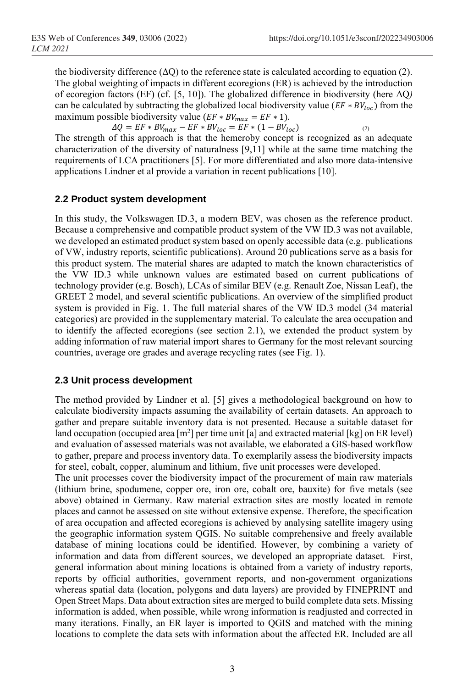the biodiversity difference  $(\Delta Q)$  to the reference state is calculated according to equation (2). The global weighting of impacts in different ecoregions (ER) is achieved by the introduction of ecoregion factors (EF) (cf. [5, 10]). The globalized difference in biodiversity (here ΔQ*)* can be calculated by subtracting the globalized local biodiversity value ( $EF * BV_{loc}$ ) from the maximum possible biodiversity value ( $EF * BV_{max} = EF * 1$ ).

 $\Delta Q = EF * BV_{max} - EF * BV_{loc} = EF * (1 - BV_{loc})$ The strength of this approach is that the hemeroby concept is recognized as an adequate characterization of the diversity of naturalness [9,11] while at the same time matching the requirements of LCA practitioners [5]. For more differentiated and also more data-intensive applications Lindner et al provide a variation in recent publications [10].

### **2.2 Product system development**

In this study, the Volkswagen ID.3, a modern BEV, was chosen as the reference product. Because a comprehensive and compatible product system of the VW ID.3 was not available, we developed an estimated product system based on openly accessible data (e.g. publications of VW, industry reports, scientific publications). Around 20 publications serve as a basis for this product system. The material shares are adapted to match the known characteristics of the VW ID.3 while unknown values are estimated based on current publications of technology provider (e.g. Bosch), LCAs of similar BEV (e.g. Renault Zoe, Nissan Leaf), the GREET 2 model, and several scientific publications. An overview of the simplified product system is provided in [Fig.](#page-4-0) 1. The full material shares of the VW ID.3 model (34 material categories) are provided in the supplementary material. To calculate the area occupation and to identify the affected ecoregions (see section 2.1), we extended the product system by adding information of raw material import shares to Germany for the most relevant sourcing countries, average ore grades and average recycling rates (see [Fig.](#page-4-0) 1).

### **2.3 Unit process development**

The method provided by Lindner et al. [5] gives a methodological background on how to calculate biodiversity impacts assuming the availability of certain datasets. An approach to gather and prepare suitable inventory data is not presented. Because a suitable dataset for land occupation (occupied area  $[m^2]$  per time unit [a] and extracted material [kg] on ER level) and evaluation of assessed materials was not available, we elaborated a GIS-based workflow to gather, prepare and process inventory data. To exemplarily assess the biodiversity impacts for steel, cobalt, copper, aluminum and lithium, five unit processes were developed.

The unit processes cover the biodiversity impact of the procurement of main raw materials (lithium brine, spodumene, copper ore, iron ore, cobalt ore, bauxite) for five metals (see above) obtained in Germany. Raw material extraction sites are mostly located in remote places and cannot be assessed on site without extensive expense. Therefore, the specification of area occupation and affected ecoregions is achieved by analysing satellite imagery using the geographic information system QGIS. No suitable comprehensive and freely available database of mining locations could be identified. However, by combining a variety of information and data from different sources, we developed an appropriate dataset. First, general information about mining locations is obtained from a variety of industry reports, reports by official authorities, government reports, and non-government organizations whereas spatial data (location, polygons and data layers) are provided by FINEPRINT and Open Street Maps. Data about extraction sites are merged to build complete data sets. Missing information is added, when possible, while wrong information is readjusted and corrected in many iterations. Finally, an ER layer is imported to QGIS and matched with the mining locations to complete the data sets with information about the affected ER. Included are all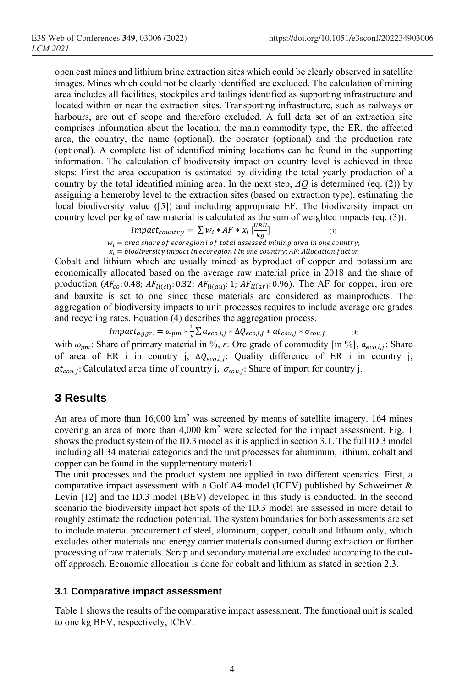open cast mines and lithium brine extraction sites which could be clearly observed in satellite images. Mines which could not be clearly identified are excluded. The calculation of mining area includes all facilities, stockpiles and tailings identified as supporting infrastructure and located within or near the extraction sites. Transporting infrastructure, such as railways or harbours, are out of scope and therefore excluded. A full data set of an extraction site comprises information about the location, the main commodity type, the ER, the affected area, the country, the name (optional), the operator (optional) and the production rate (optional). A complete list of identified mining locations can be found in the supporting information. The calculation of biodiversity impact on country level is achieved in three steps: First the area occupation is estimated by dividing the total yearly production of a country by the total identified mining area. In the next step, *ΔQ* is determined (eq. (2)) by assigning a hemeroby level to the extraction sites (based on extraction type), estimating the local biodiversity value ([5]) and including appropriate EF. The biodiversity impact on country level per kg of raw material is calculated as the sum of weighted impacts (eq. (3)).

$$
Impact_{country} = \sum w_i * AF * x_i \left[ \frac{UBU}{kg} \right]
$$
\n(3)

 $w_i$  =  $\frac{1}{\sqrt{2}}$   $\frac{1}{\sqrt{2}}$   $\frac{1}{\sqrt{2}}$   $\frac{1}{\sqrt{2}}$   $\frac{1}{\sqrt{2}}$   $\frac{1}{\sqrt{2}}$   $\frac{1}{\sqrt{2}}$   $\frac{1}{\sqrt{2}}$   $\frac{1}{\sqrt{2}}$   $\frac{1}{\sqrt{2}}$   $\frac{1}{\sqrt{2}}$   $\frac{1}{\sqrt{2}}$   $\frac{1}{\sqrt{2}}$   $\frac{1}{\sqrt{2}}$   $\frac{1}{\sqrt{2}}$   $\frac{1}{\sqrt{2}}$   $\frac{1}{$  $x_i$  = biodiversity impact in ecoregion i in one country; AF: Allocation factor

Cobalt and lithium which are usually mined as byproduct of copper and potassium are economically allocated based on the average raw material price in 2018 and the share of production ( $AF_{co}$ : 0.48;  $AF_{li(cl)}$ : 0.32;  $AF_{li(av)}$ : 1;  $AF_{li(ar)}$ : 0.96). The AF for copper, iron ore and bauxite is set to one since these materials are considered as mainproducts. The aggregation of biodiversity impacts to unit processes requires to include average ore grades and recycling rates. Equation (4) describes the aggregation process.

$$
Impact_{aggr.} = \omega_{pm} * \frac{1}{s} \sum a_{eco,i,j} * \Delta Q_{eco,i,j} * at_{cou,j} * \sigma_{cou,j}
$$
\n
$$
\tag{4}
$$

with  $\omega_{pm}$ : Share of primary material in %,  $\varepsilon$ : Ore grade of commodity [in %],  $a_{eco,i,j}$ : Share of area of ER i in country j,  $\Delta Q_{e co, i, j}$ : Quality difference of ER i in country j,  $at_{cou,i}$ : Calculated area time of country j,  $\,\sigma_{cou,i}$ : Share of import for country j.

### **3 Results**

An area of more than  $16,000 \text{ km}^2$  was screened by means of satellite imagery. 164 mines covering an area of more than  $4,000 \text{ km}^2$  were selected for the impact assessment. [Fig.](#page-4-0) 1 shows the product system of the ID.3 model as it is applied in section 3.1. The full ID.3 model including all 34 material categories and the unit processes for aluminum, lithium, cobalt and copper can be found in the supplementary material.

The unit processes and the product system are applied in two different scenarios. First, a comparative impact assessment with a Golf A4 model (ICEV) published by Schweimer & Levin [12] and the ID.3 model (BEV) developed in this study is conducted. In the second scenario the biodiversity impact hot spots of the ID.3 model are assessed in more detail to roughly estimate the reduction potential. The system boundaries for both assessments are set to include material procurement of steel, aluminum, copper, cobalt and lithium only, which excludes other materials and energy carrier materials consumed during extraction or further processing of raw materials. Scrap and secondary material are excluded according to the cutoff approach. Economic allocation is done for cobalt and lithium as stated in section 2.3.

### **3.1 Comparative impact assessment**

[Table 1](#page-4-1) shows the results of the comparative impact assessment. The functional unit is scaled to one kg BEV, respectively, ICEV.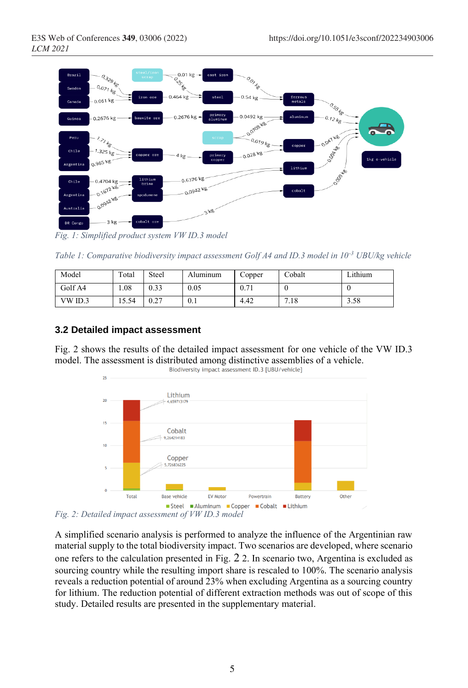

<span id="page-4-0"></span>*Fig. 1: Simplified product system VW ID.3 model*

<span id="page-4-1"></span>*Table 1: Comparative biodiversity impact assessment Golf A4 and ID.3 model in 10-3 UBU/kg vehicle*

| Model   | Total | Steel | Aluminum | Copper | Cobalt | Lithium |
|---------|-------|-------|----------|--------|--------|---------|
| Golf A4 | .08   | 0.33  | 0.05     | 0.71   |        |         |
| VW ID.3 | 5.54  | 0.27  | 0.1      | 4.42   | 7.18   | 3.58    |

### **3.2 Detailed impact assessment**

[Fig.](#page-4-2) 2 shows the results of the detailed impact assessment for one vehicle of the VW ID.3 model. The assessment is distributed among distinctive assemblies of a vehicle.<br>Biodiversity impact assessment ID.3 [UBU/vehicle]



<span id="page-4-2"></span>*Fig. 2: Detailed impact assessment of VW ID.3 model*

A simplified scenario analysis is performed to analyze the influence of the Argentinian raw material supply to the total biodiversity impact. Two scenarios are developed, where scenario one refers to the calculation presented in [Fig.](#page-4-2) [2](#page-4-2) 2. In scenario two, Argentina is excluded as sourcing country while the resulting import share is rescaled to 100%. The scenario analysis reveals a reduction potential of around 23% when excluding Argentina as a sourcing country for lithium. The reduction potential of different extraction methods was out of scope of this study. Detailed results are presented in the supplementary material.